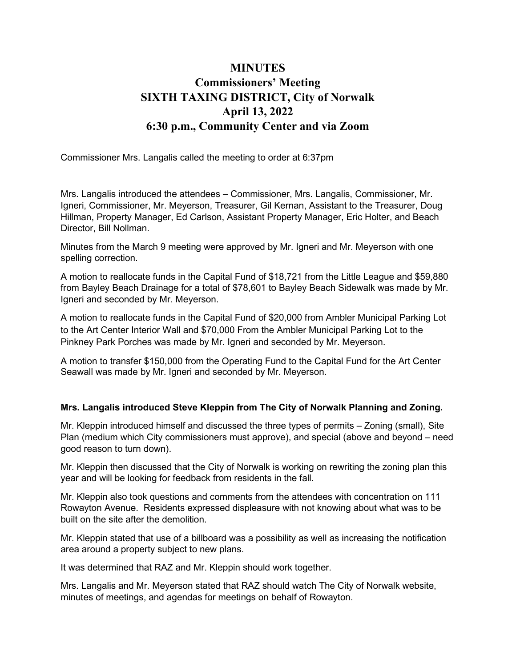## **MINUTES** Commissioners' Meeting SIXTH TAXING DISTRICT, City of Norwalk April 13, 2022 6:30 p.m., Community Center and via Zoom

Commissioner Mrs. Langalis called the meeting to order at 6:37pm

Mrs. Langalis introduced the attendees – Commissioner, Mrs. Langalis, Commissioner, Mr. Igneri, Commissioner, Mr. Meyerson, Treasurer, Gil Kernan, Assistant to the Treasurer, Doug Hillman, Property Manager, Ed Carlson, Assistant Property Manager, Eric Holter, and Beach Director, Bill Nollman.

Minutes from the March 9 meeting were approved by Mr. Igneri and Mr. Meyerson with one spelling correction.

A motion to reallocate funds in the Capital Fund of \$18,721 from the Little League and \$59,880 from Bayley Beach Drainage for a total of \$78,601 to Bayley Beach Sidewalk was made by Mr. Igneri and seconded by Mr. Meyerson.

A motion to reallocate funds in the Capital Fund of \$20,000 from Ambler Municipal Parking Lot to the Art Center Interior Wall and \$70,000 From the Ambler Municipal Parking Lot to the Pinkney Park Porches was made by Mr. Igneri and seconded by Mr. Meyerson.

A motion to transfer \$150,000 from the Operating Fund to the Capital Fund for the Art Center Seawall was made by Mr. Igneri and seconded by Mr. Meyerson.

## Mrs. Langalis introduced Steve Kleppin from The City of Norwalk Planning and Zoning.

Mr. Kleppin introduced himself and discussed the three types of permits – Zoning (small), Site Plan (medium which City commissioners must approve), and special (above and beyond – need good reason to turn down).

Mr. Kleppin then discussed that the City of Norwalk is working on rewriting the zoning plan this year and will be looking for feedback from residents in the fall.

Mr. Kleppin also took questions and comments from the attendees with concentration on 111 Rowayton Avenue. Residents expressed displeasure with not knowing about what was to be built on the site after the demolition.

Mr. Kleppin stated that use of a billboard was a possibility as well as increasing the notification area around a property subject to new plans.

It was determined that RAZ and Mr. Kleppin should work together.

Mrs. Langalis and Mr. Meyerson stated that RAZ should watch The City of Norwalk website, minutes of meetings, and agendas for meetings on behalf of Rowayton.